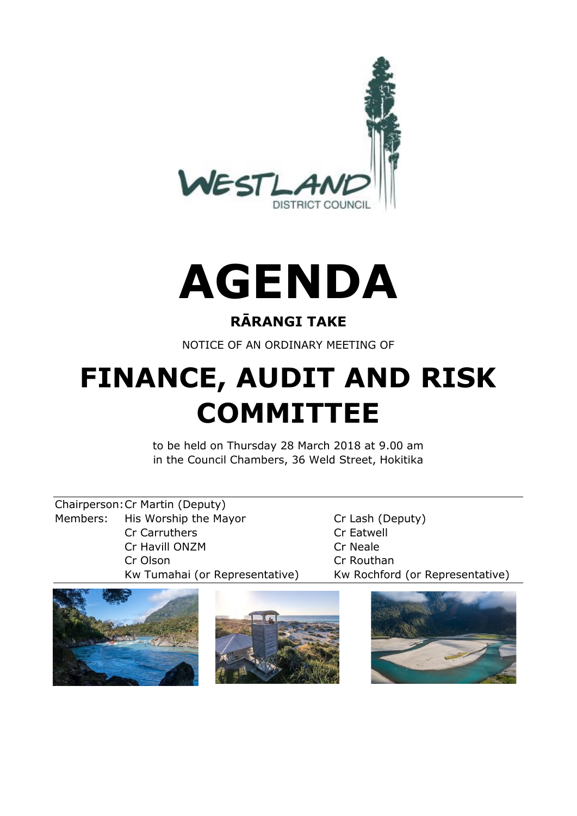



# **RĀRANGI TAKE**

NOTICE OF AN ORDINARY MEETING OF

# **FINANCE, AUDIT AND RISK COMMITTEE**

to be held on Thursday 28 March 2018 at 9.00 am in the Council Chambers, 36 Weld Street, Hokitika

Chairperson:Cr Martin (Deputy) Members: His Worship the Mayor Cr Lash (Deputy) Cr Carruthers **Cr Eatwell** Cr Havill ONZM Cr Neale Cr Olson Cr Routhan

Kw Tumahai (or Representative) Kw Rochford (or Representative)



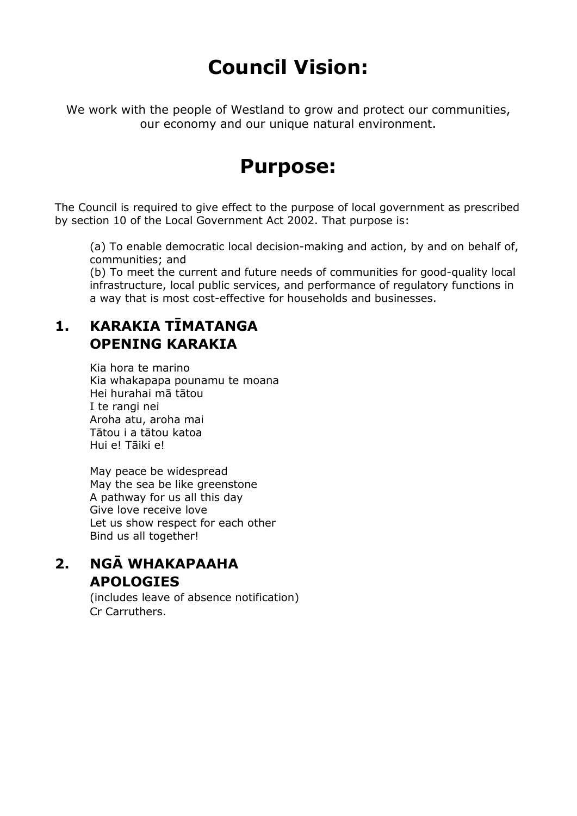# **Council Vision:**

We work with the people of Westland to grow and protect our communities, our economy and our unique natural environment.

# **Purpose:**

The Council is required to give effect to the purpose of local government as prescribed by section 10 of the Local Government Act 2002. That purpose is:

(a) To enable democratic local decision-making and action, by and on behalf of, communities; and

(b) To meet the current and future needs of communities for good-quality local infrastructure, local public services, and performance of regulatory functions in a way that is most cost-effective for households and businesses.

# **1. KARAKIA TĪMATANGA OPENING KARAKIA**

Kia hora te marino Kia whakapapa pounamu te moana Hei hurahai mā tātou I te rangi nei Aroha atu, aroha mai Tātou i a tātou katoa Hui e! Tāiki e!

May peace be widespread May the sea be like greenstone A pathway for us all this day Give love receive love Let us show respect for each other Bind us all together!

# **2. NGĀ WHAKAPAAHA APOLOGIES**

(includes leave of absence notification) Cr Carruthers.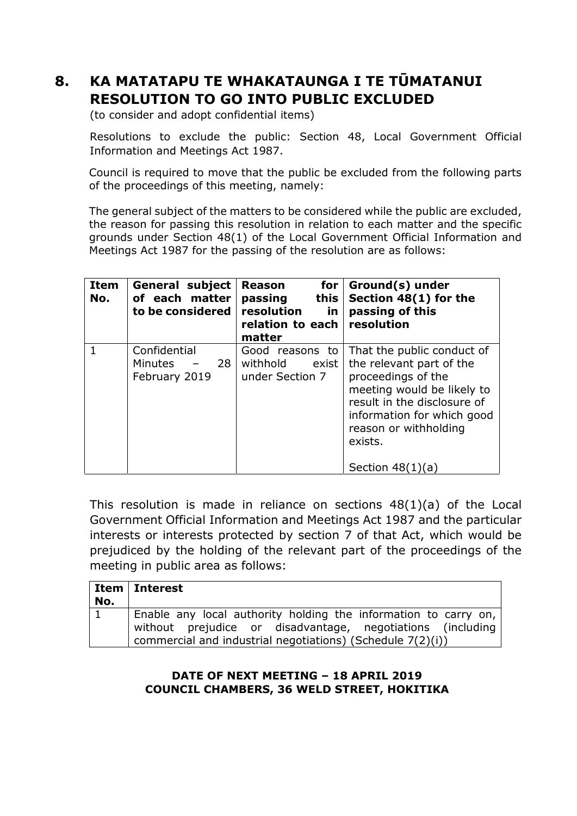# **8. KA MATATAPU TE WHAKATAUNGA I TE TŪMATANUI RESOLUTION TO GO INTO PUBLIC EXCLUDED**

(to consider and adopt confidential items)

Resolutions to exclude the public: Section 48, Local Government Official Information and Meetings Act 1987.

Council is required to move that the public be excluded from the following parts of the proceedings of this meeting, namely:

The general subject of the matters to be considered while the public are excluded, the reason for passing this resolution in relation to each matter and the specific grounds under Section 48(1) of the Local Government Official Information and Meetings Act 1987 for the passing of the resolution are as follows:

| <b>Item</b><br>No. | General subject<br>of each matter<br>to be considered | for <sub>l</sub><br><b>Reason</b><br>this<br>passing<br>resolution<br>in.<br>relation to each resolution<br>matter | Ground(s) under<br>Section 48(1) for the<br>passing of this                                                                                                                                                                       |
|--------------------|-------------------------------------------------------|--------------------------------------------------------------------------------------------------------------------|-----------------------------------------------------------------------------------------------------------------------------------------------------------------------------------------------------------------------------------|
|                    | Confidential<br>Minutes $-28$<br>February 2019        | Good reasons to<br>withhold<br>exist<br>under Section 7                                                            | That the public conduct of<br>the relevant part of the<br>proceedings of the<br>meeting would be likely to<br>result in the disclosure of<br>information for which good<br>reason or withholding<br>exists.<br>Section $48(1)(a)$ |

This resolution is made in reliance on sections 48(1)(a) of the Local Government Official Information and Meetings Act 1987 and the particular interests or interests protected by section 7 of that Act, which would be prejudiced by the holding of the relevant part of the proceedings of the meeting in public area as follows:

| No. | Item   Interest                                                                                                                                                                             |
|-----|---------------------------------------------------------------------------------------------------------------------------------------------------------------------------------------------|
|     | Enable any local authority holding the information to carry on,<br>without prejudice or disadvantage, negotiations (including<br>commercial and industrial negotiations) (Schedule 7(2)(i)) |

### **DATE OF NEXT MEETING – 18 APRIL 2019 COUNCIL CHAMBERS, 36 WELD STREET, HOKITIKA**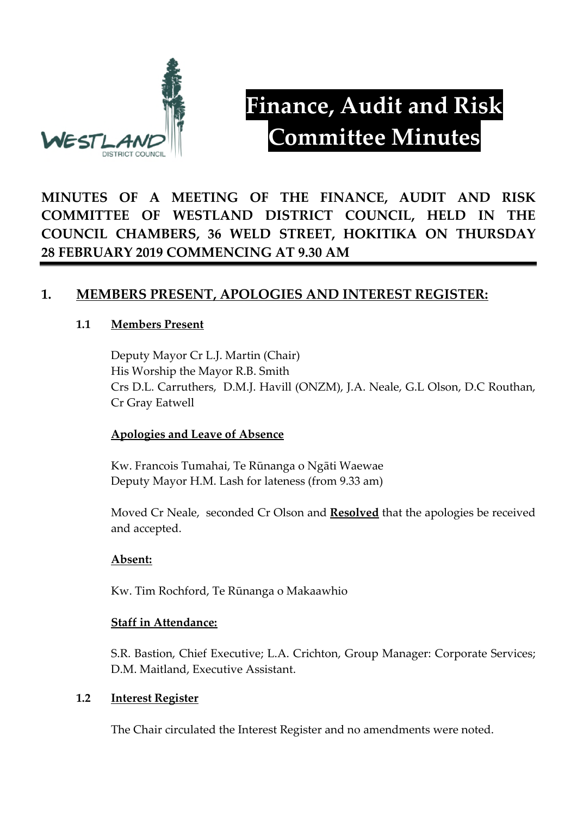

# **Finance, Audit and Risk Committee Minutes**

**MINUTES OF A MEETING OF THE FINANCE, AUDIT AND RISK COMMITTEE OF WESTLAND DISTRICT COUNCIL, HELD IN THE COUNCIL CHAMBERS, 36 WELD STREET, HOKITIKA ON THURSDAY 28 FEBRUARY 2019 COMMENCING AT 9.30 AM**

# **1. MEMBERS PRESENT, APOLOGIES AND INTEREST REGISTER:**

### **1.1 Members Present**

Deputy Mayor Cr L.J. Martin (Chair) His Worship the Mayor R.B. Smith Crs D.L. Carruthers, D.M.J. Havill (ONZM), J.A. Neale, G.L Olson, D.C Routhan, Cr Gray Eatwell

#### **Apologies and Leave of Absence**

Kw. Francois Tumahai, Te Rūnanga o Ngāti Waewae Deputy Mayor H.M. Lash for lateness (from 9.33 am)

Moved Cr Neale, seconded Cr Olson and **Resolved** that the apologies be received and accepted.

# **Absent:**

Kw. Tim Rochford, Te Rūnanga o Makaawhio

#### **Staff in Attendance:**

S.R. Bastion, Chief Executive; L.A. Crichton, Group Manager: Corporate Services; D.M. Maitland, Executive Assistant.

#### **1.2 Interest Register**

The Chair circulated the Interest Register and no amendments were noted.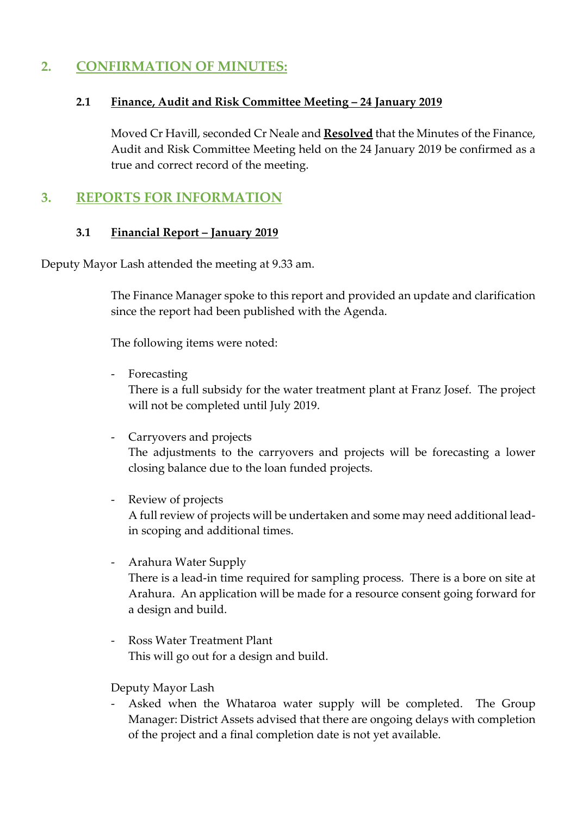# **2. CONFIRMATION OF MINUTES:**

#### **2.1 Finance, Audit and Risk Committee Meeting – 24 January 2019**

Moved Cr Havill, seconded Cr Neale and **Resolved** that the Minutes of the Finance, Audit and Risk Committee Meeting held on the 24 January 2019 be confirmed as a true and correct record of the meeting.

# **3. REPORTS FOR INFORMATION**

#### **3.1 Financial Report – January 2019**

Deputy Mayor Lash attended the meeting at 9.33 am.

The Finance Manager spoke to this report and provided an update and clarification since the report had been published with the Agenda.

The following items were noted:

- Forecasting

There is a full subsidy for the water treatment plant at Franz Josef. The project will not be completed until July 2019.

- Carryovers and projects The adjustments to the carryovers and projects will be forecasting a lower closing balance due to the loan funded projects.
- Review of projects A full review of projects will be undertaken and some may need additional leadin scoping and additional times.
- Arahura Water Supply

There is a lead-in time required for sampling process. There is a bore on site at Arahura. An application will be made for a resource consent going forward for a design and build.

- Ross Water Treatment Plant This will go out for a design and build.

Deputy Mayor Lash

Asked when the Whataroa water supply will be completed. The Group Manager: District Assets advised that there are ongoing delays with completion of the project and a final completion date is not yet available.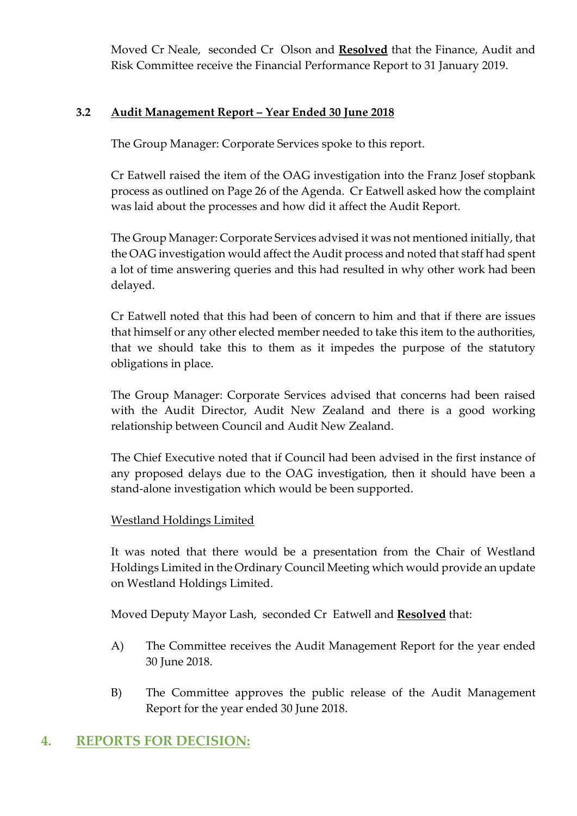Moved Cr Neale, seconded Cr Olson and **Resolved** that the Finance, Audit and Risk Committee receive the Financial Performance Report to 31 January 2019.

### **3.2 Audit Management Report – Year Ended 30 June 2018**

The Group Manager: Corporate Services spoke to this report.

Cr Eatwell raised the item of the OAG investigation into the Franz Josef stopbank process as outlined on Page 26 of the Agenda. Cr Eatwell asked how the complaint was laid about the processes and how did it affect the Audit Report.

The Group Manager: Corporate Services advised it was not mentioned initially, that the OAG investigation would affect the Audit process and noted that staff had spent a lot of time answering queries and this had resulted in why other work had been delayed.

Cr Eatwell noted that this had been of concern to him and that if there are issues that himself or any other elected member needed to take this item to the authorities, that we should take this to them as it impedes the purpose of the statutory obligations in place.

The Group Manager: Corporate Services advised that concerns had been raised with the Audit Director, Audit New Zealand and there is a good working relationship between Council and Audit New Zealand.

The Chief Executive noted that if Council had been advised in the first instance of any proposed delays due to the OAG investigation, then it should have been a stand-alone investigation which would be been supported.

# Westland Holdings Limited

It was noted that there would be a presentation from the Chair of Westland Holdings Limited in the Ordinary Council Meeting which would provide an update on Westland Holdings Limited.

Moved Deputy Mayor Lash, seconded Cr Eatwell and **Resolved** that:

- A) The Committee receives the Audit Management Report for the year ended 30 June 2018.
- B) The Committee approves the public release of the Audit Management Report for the year ended 30 June 2018.

# **4. REPORTS FOR DECISION:**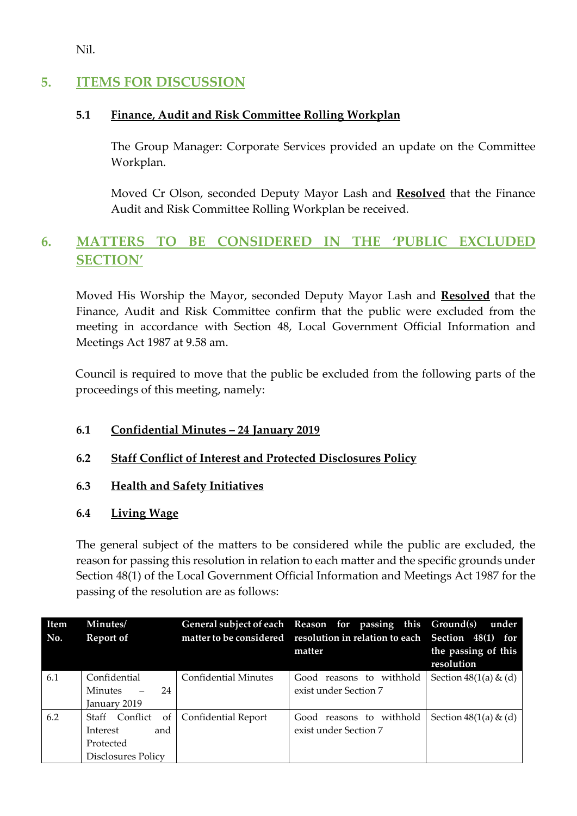Nil.

# **5. ITEMS FOR DISCUSSION**

# **5.1 Finance, Audit and Risk Committee Rolling Workplan**

The Group Manager: Corporate Services provided an update on the Committee Workplan.

Moved Cr Olson, seconded Deputy Mayor Lash and **Resolved** that the Finance Audit and Risk Committee Rolling Workplan be received.

# **6. MATTERS TO BE CONSIDERED IN THE 'PUBLIC EXCLUDED SECTION'**

Moved His Worship the Mayor, seconded Deputy Mayor Lash and **Resolved** that the Finance, Audit and Risk Committee confirm that the public were excluded from the meeting in accordance with Section 48, Local Government Official Information and Meetings Act 1987 at 9.58 am.

Council is required to move that the public be excluded from the following parts of the proceedings of this meeting, namely:

# **6.1 Confidential Minutes – 24 January 2019**

# **6.2 Staff Conflict of Interest and Protected Disclosures Policy**

# **6.3 Health and Safety Initiatives**

# **6.4 Living Wage**

The general subject of the matters to be considered while the public are excluded, the reason for passing this resolution in relation to each matter and the specific grounds under Section 48(1) of the Local Government Official Information and Meetings Act 1987 for the passing of the resolution are as follows:

| <b>Item</b><br>No. | Minutes/<br>Report of |                             | General subject of each Reason for passing this Ground(s)<br>matter to be considered resolution in relation to each Section 48(1) for | under                             |
|--------------------|-----------------------|-----------------------------|---------------------------------------------------------------------------------------------------------------------------------------|-----------------------------------|
|                    |                       |                             | matter                                                                                                                                | the passing of this<br>resolution |
| 6.1                | Confidential          | <b>Confidential Minutes</b> | Good reasons to withhold                                                                                                              | Section $48(1(a) \& (d)$          |
|                    | 24<br><b>Minutes</b>  |                             | exist under Section 7                                                                                                                 |                                   |
|                    | January 2019          |                             |                                                                                                                                       |                                   |
| 6.2                | Staff Conflict        | of   Confidential Report    | Good reasons to withhold                                                                                                              | Section $48(1(a) \& (d)$          |
|                    | Interest<br>and       |                             | exist under Section 7                                                                                                                 |                                   |
|                    | Protected             |                             |                                                                                                                                       |                                   |
|                    | Disclosures Policy    |                             |                                                                                                                                       |                                   |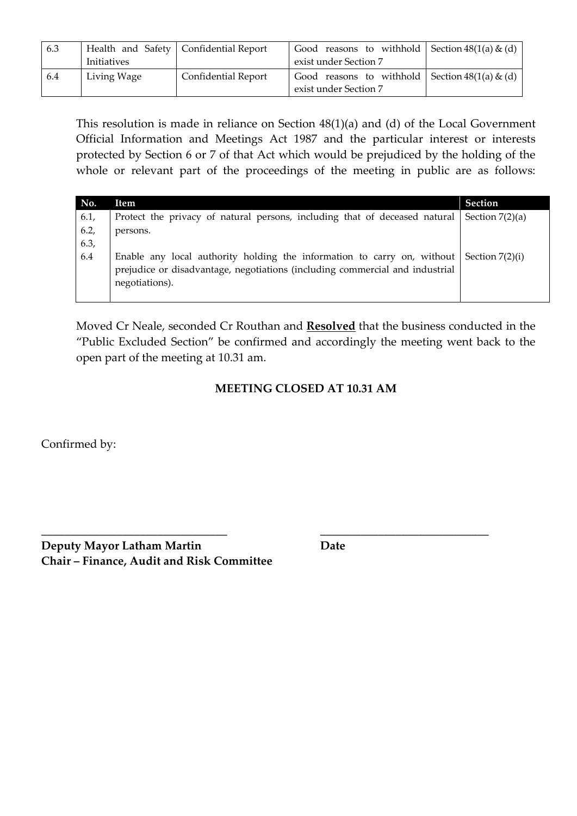| 6.3 |             | Health and Safety   Confidential Report | Good reasons to withhold Section $48(1(a) \& (d)$                          |  |
|-----|-------------|-----------------------------------------|----------------------------------------------------------------------------|--|
|     | Initiatives |                                         | exist under Section 7                                                      |  |
| 6.4 | Living Wage | <b>Confidential Report</b>              | Good reasons to withhold Section $48(1(a) \& (d)$<br>exist under Section 7 |  |

This resolution is made in reliance on Section 48(1)(a) and (d) of the Local Government Official Information and Meetings Act 1987 and the particular interest or interests protected by Section 6 or 7 of that Act which would be prejudiced by the holding of the whole or relevant part of the proceedings of the meeting in public are as follows:

| No.  | Item                                                                         | <b>Section</b>    |
|------|------------------------------------------------------------------------------|-------------------|
| 6.1, | Protect the privacy of natural persons, including that of deceased natural   | Section $7(2)(a)$ |
| 6.2, | persons.                                                                     |                   |
| 6.3, |                                                                              |                   |
| 6.4  | Enable any local authority holding the information to carry on, without      | Section 7(2)(i)   |
|      | prejudice or disadvantage, negotiations (including commercial and industrial |                   |
|      | negotiations).                                                               |                   |
|      |                                                                              |                   |

Moved Cr Neale, seconded Cr Routhan and **Resolved** that the business conducted in the "Public Excluded Section" be confirmed and accordingly the meeting went back to the open part of the meeting at 10.31 am.

# **MEETING CLOSED AT 10.31 AM**

**\_\_\_\_\_\_\_\_\_\_\_\_\_\_\_\_\_\_\_\_\_\_\_\_\_\_\_\_\_\_\_\_ \_\_\_\_\_\_\_\_\_\_\_\_\_\_\_\_\_\_\_\_\_\_\_\_\_\_\_\_\_**

Confirmed by:

**Deputy Mayor Latham Martin Date Chair – Finance, Audit and Risk Committee**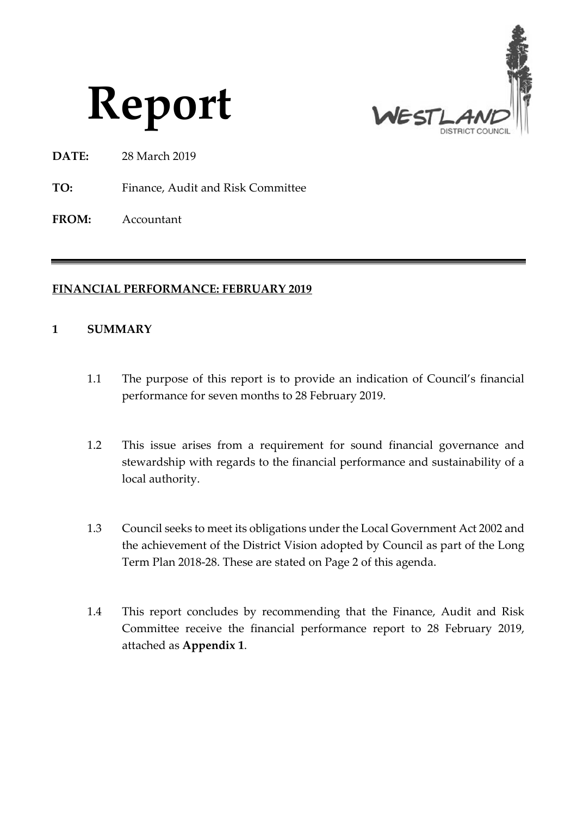



- **DATE:** 28 March 2019
- **TO:** Finance, Audit and Risk Committee
- **FROM:** Accountant

### **FINANCIAL PERFORMANCE: FEBRUARY 2019**

#### **1 SUMMARY**

- 1.1 The purpose of this report is to provide an indication of Council's financial performance for seven months to 28 February 2019.
- 1.2 This issue arises from a requirement for sound financial governance and stewardship with regards to the financial performance and sustainability of a local authority.
- 1.3 Council seeks to meet its obligations under the Local Government Act 2002 and the achievement of the District Vision adopted by Council as part of the Long Term Plan 2018-28. These are stated on Page 2 of this agenda.
- 1.4 This report concludes by recommending that the Finance, Audit and Risk Committee receive the financial performance report to 28 February 2019, attached as **Appendix 1**.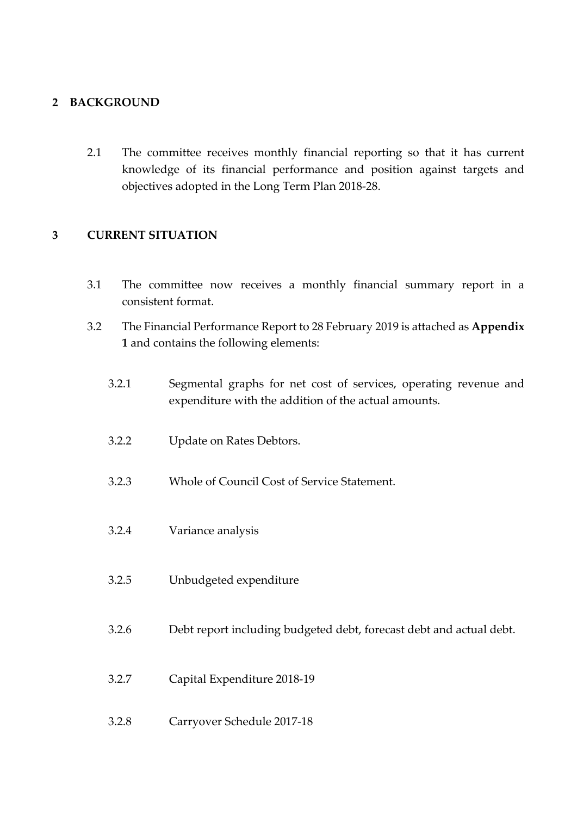### **2 BACKGROUND**

2.1 The committee receives monthly financial reporting so that it has current knowledge of its financial performance and position against targets and objectives adopted in the Long Term Plan 2018-28.

### **3 CURRENT SITUATION**

- 3.1 The committee now receives a monthly financial summary report in a consistent format.
- 3.2 The Financial Performance Report to 28 February 2019 is attached as **Appendix 1** and contains the following elements:
	- 3.2.1 Segmental graphs for net cost of services, operating revenue and expenditure with the addition of the actual amounts.
	- 3.2.2 Update on Rates Debtors.
	- 3.2.3 Whole of Council Cost of Service Statement.
	- 3.2.4 Variance analysis
	- 3.2.5 Unbudgeted expenditure
	- 3.2.6 Debt report including budgeted debt, forecast debt and actual debt.
	- 3.2.7 Capital Expenditure 2018-19
	- 3.2.8 Carryover Schedule 2017-18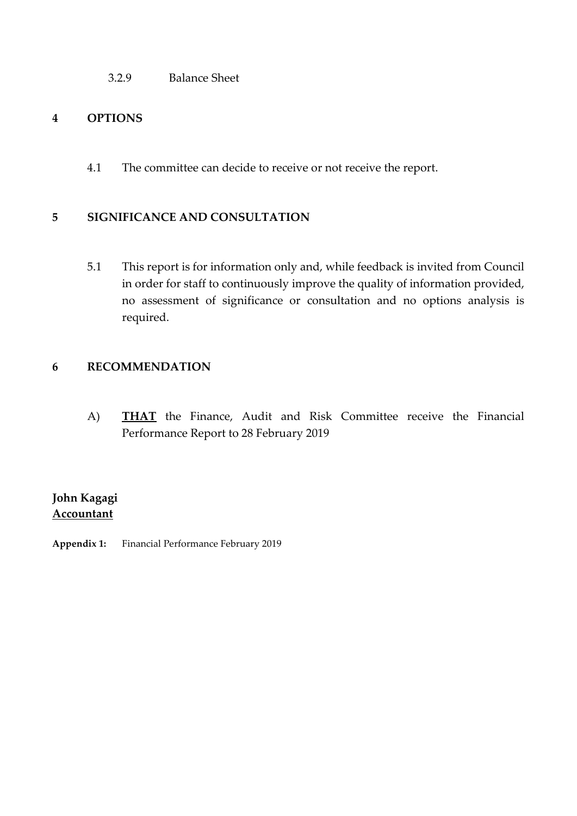3.2.9 Balance Sheet

### **4 OPTIONS**

4.1 The committee can decide to receive or not receive the report.

#### **5 SIGNIFICANCE AND CONSULTATION**

5.1 This report is for information only and, while feedback is invited from Council in order for staff to continuously improve the quality of information provided, no assessment of significance or consultation and no options analysis is required.

### **6 RECOMMENDATION**

A) **THAT** the Finance, Audit and Risk Committee receive the Financial Performance Report to 28 February 2019

# **John Kagagi Accountant**

**Appendix 1:** Financial Performance February 2019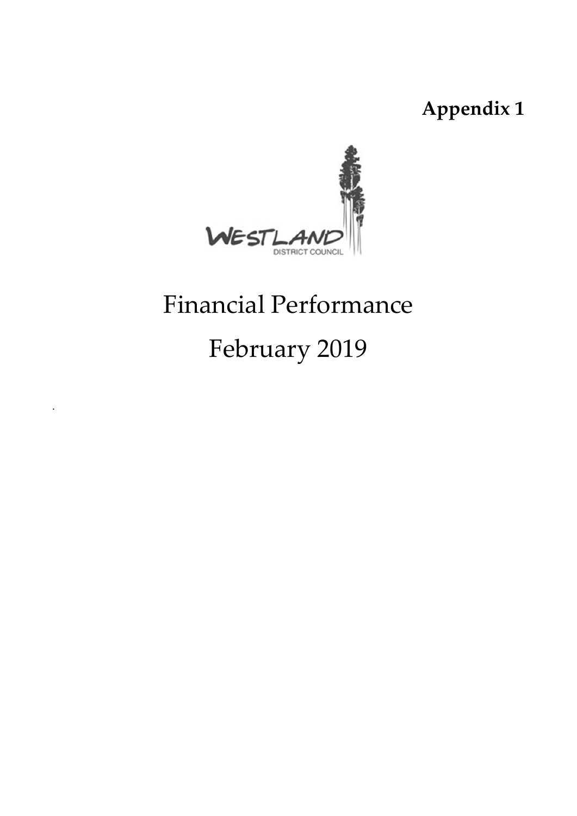**Appendix 1**



# Financial Performance

# February 2019

.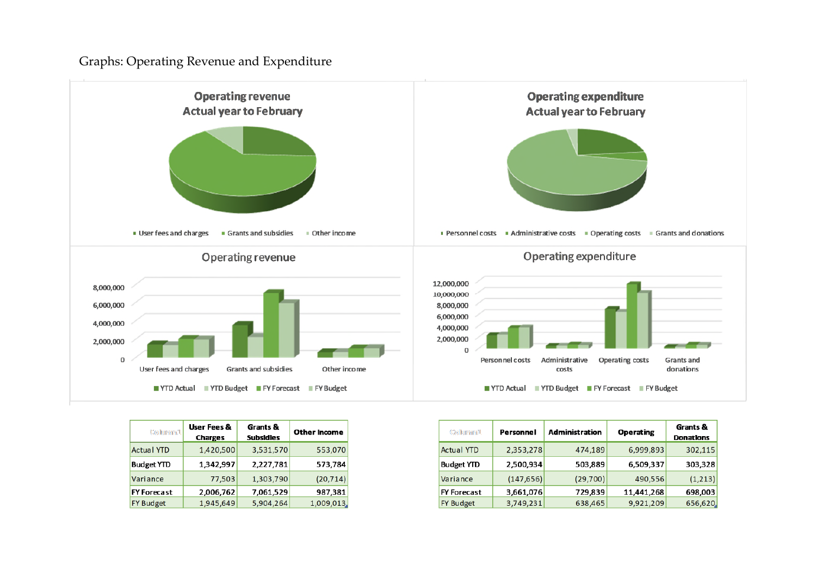Graphs: Operating Revenue and Expenditure



| Columnn1.          | User Fees &<br><b>Charges</b> | Grants &<br><b>Subsidies</b> | Other Income |
|--------------------|-------------------------------|------------------------------|--------------|
| <b>Actual YTD</b>  | 1,420,500                     | 3,531,570                    | 553,070      |
| <b>Budget YTD</b>  | 1.342.997                     | 2,227,781                    | 573,784      |
| Variance           | 77,503                        | 1,303,790                    | (20, 714)    |
| <b>FY Forecast</b> | 2,006,762                     | 7,061,529                    | 987,381      |
| <b>FY Budget</b>   | 1,945,649                     | 5,904,264                    | 1,009,013.   |

| Columnn'l          | Personnel  | Administration | <b>Operating</b> | Grants &<br><b>Donations</b> |
|--------------------|------------|----------------|------------------|------------------------------|
| <b>Actual YTD</b>  | 2,353,278  | 474,189        | 6,999,893        | 302,115                      |
| <b>Budget YTD</b>  | 2,500,934  | 503,889        | 6,509,337        | 303,328                      |
| Variance           | (147, 656) | (29,700)       | 490,556          | (1,213)                      |
| <b>FY Forecast</b> | 3,661,076  | 729,839        | 11,441,268       | 698,003                      |
| <b>FY Budget</b>   | 3,749,231  | 638,465        | 9,921,209        | 656,620.                     |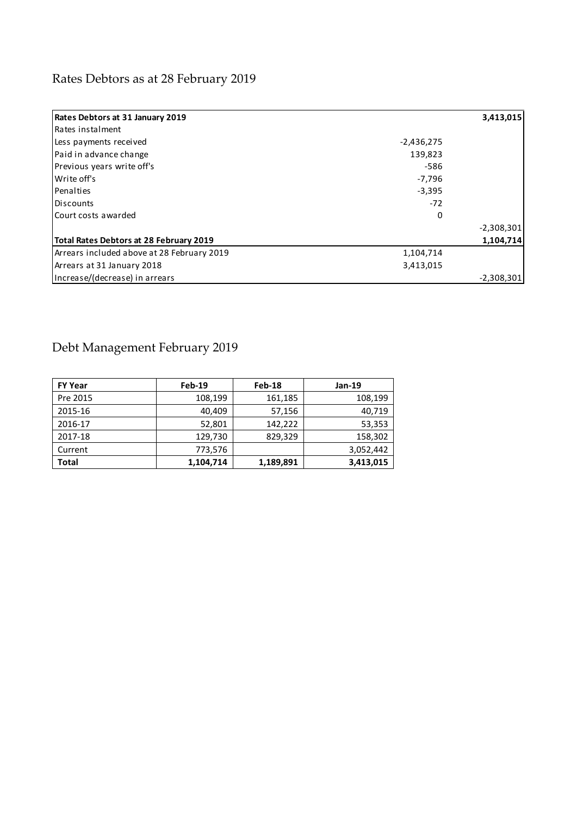# Rates Debtors as at 28 February 2019

| <b>Rates Debtors at 31 January 2019</b>        |              | 3,413,015    |
|------------------------------------------------|--------------|--------------|
| Rates instalment                               |              |              |
| Less payments received                         | $-2,436,275$ |              |
| Paid in advance change                         | 139,823      |              |
| Previous years write off's                     | -586         |              |
| Write off's                                    | -7,796       |              |
| Penalties                                      | $-3,395$     |              |
| Discounts                                      | $-72$        |              |
| Court costs awarded                            | $\Omega$     |              |
|                                                |              | $-2,308,301$ |
| <b>Total Rates Debtors at 28 February 2019</b> |              | 1,104,714    |
| Arrears included above at 28 February 2019     | 1,104,714    |              |
| Arrears at 31 January 2018                     | 3,413,015    |              |
| Increase/(decrease) in arrears                 |              | $-2,308,301$ |

# Debt Management February 2019

| <b>FY Year</b> | Feb-19    | Feb-18    | <b>Jan-19</b> |
|----------------|-----------|-----------|---------------|
| Pre 2015       | 108,199   | 161,185   | 108,199       |
| 2015-16        | 40.409    | 57,156    | 40,719        |
| 2016-17        | 52,801    | 142.222   | 53,353        |
| 2017-18        | 129,730   | 829,329   | 158,302       |
| Current        | 773,576   |           | 3,052,442     |
| <b>Total</b>   | 1,104,714 | 1,189,891 | 3,413,015     |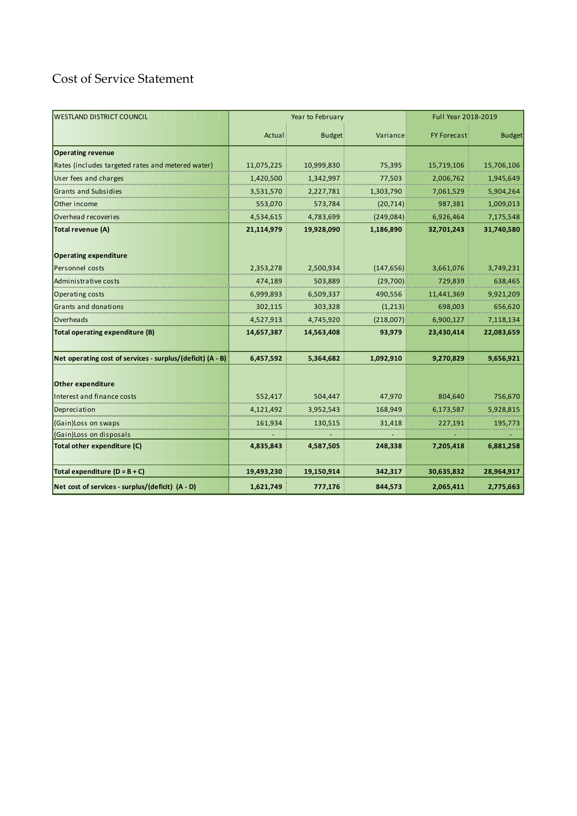# Cost of Service Statement

| <b>WESTLAND DISTRICT COUNCIL</b>                           | Year to February |               |            | Full Year 2018-2019 |               |
|------------------------------------------------------------|------------------|---------------|------------|---------------------|---------------|
|                                                            | Actual           | <b>Budget</b> | Variance   | <b>FY Forecast</b>  | <b>Budget</b> |
| <b>Operating revenue</b>                                   |                  |               |            |                     |               |
| Rates (includes targeted rates and metered water)          | 11,075,225       | 10,999,830    | 75,395     | 15,719,106          | 15,706,106    |
| User fees and charges                                      | 1,420,500        | 1,342,997     | 77,503     | 2,006,762           | 1,945,649     |
| Grants and Subsidies                                       | 3,531,570        | 2,227,781     | 1,303,790  | 7,061,529           | 5,904,264     |
| Other income                                               | 553,070          | 573,784       | (20, 714)  | 987,381             | 1,009,013     |
| Overhead recoveries                                        | 4,534,615        | 4,783,699     | (249, 084) | 6,926,464           | 7,175,548     |
| Total revenue (A)                                          | 21,114,979       | 19,928,090    | 1,186,890  | 32,701,243          | 31,740,580    |
| <b>Operating expenditure</b><br>Personnel costs            | 2,353,278        | 2,500,934     | (147, 656) | 3,661,076           | 3,749,231     |
| Administrative costs                                       | 474,189          | 503,889       | (29,700)   | 729,839             | 638,465       |
| Operating costs                                            | 6,999,893        | 6,509,337     | 490,556    | 11,441,369          | 9,921,209     |
| Grants and donations                                       | 302,115          | 303,328       | (1,213)    | 698,003             | 656,620       |
| Overheads                                                  | 4,527,913        | 4,745,920     | (218,007)  | 6,900,127           | 7,118,134     |
| Total operating expenditure (B)                            | 14,657,387       | 14,563,408    | 93,979     | 23,430,414          | 22,083,659    |
| Net operating cost of services - surplus/(deficit) (A - B) | 6,457,592        | 5,364,682     | 1,092,910  | 9,270,829           | 9,656,921     |
| Other expenditure                                          |                  |               |            |                     |               |
| <b>Interest and finance costs</b>                          | 552,417          | 504,447       | 47,970     | 804,640             | 756,670       |
| Depreciation                                               | 4,121,492        | 3,952,543     | 168,949    | 6,173,587           | 5,928,815     |
| (Gain)Loss on swaps                                        | 161,934          | 130,515       | 31,418     | 227,191             | 195,773       |
| (Gain)Loss on disposals                                    |                  |               |            |                     |               |
| Total other expenditure (C)                                | 4,835,843        | 4,587,505     | 248,338    | 7,205,418           | 6,881,258     |
| Total expenditure $(D = B + C)$                            | 19,493,230       | 19,150,914    | 342,317    | 30,635,832          | 28,964,917    |
| Net cost of services - surplus/(deficit) (A - D)           | 1,621,749        | 777,176       | 844,573    | 2,065,411           | 2,775,663     |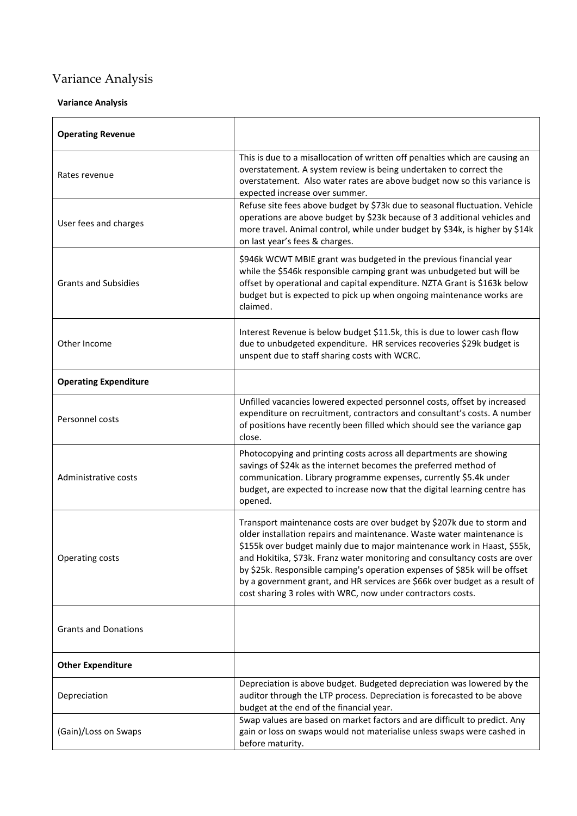# Variance Analysis

#### **Variance Analysis**

| <b>Operating Revenue</b>     |                                                                                                                                                                                                                                                                                                                                                                                                                                                                                                                                        |  |  |
|------------------------------|----------------------------------------------------------------------------------------------------------------------------------------------------------------------------------------------------------------------------------------------------------------------------------------------------------------------------------------------------------------------------------------------------------------------------------------------------------------------------------------------------------------------------------------|--|--|
| Rates revenue                | This is due to a misallocation of written off penalties which are causing an<br>overstatement. A system review is being undertaken to correct the<br>overstatement. Also water rates are above budget now so this variance is<br>expected increase over summer.                                                                                                                                                                                                                                                                        |  |  |
| User fees and charges        | Refuse site fees above budget by \$73k due to seasonal fluctuation. Vehicle<br>operations are above budget by \$23k because of 3 additional vehicles and<br>more travel. Animal control, while under budget by \$34k, is higher by \$14k<br>on last year's fees & charges.                                                                                                                                                                                                                                                             |  |  |
| <b>Grants and Subsidies</b>  | \$946k WCWT MBIE grant was budgeted in the previous financial year<br>while the \$546k responsible camping grant was unbudgeted but will be<br>offset by operational and capital expenditure. NZTA Grant is \$163k below<br>budget but is expected to pick up when ongoing maintenance works are<br>claimed.                                                                                                                                                                                                                           |  |  |
| Other Income                 | Interest Revenue is below budget \$11.5k, this is due to lower cash flow<br>due to unbudgeted expenditure. HR services recoveries \$29k budget is<br>unspent due to staff sharing costs with WCRC.                                                                                                                                                                                                                                                                                                                                     |  |  |
| <b>Operating Expenditure</b> |                                                                                                                                                                                                                                                                                                                                                                                                                                                                                                                                        |  |  |
| Personnel costs              | Unfilled vacancies lowered expected personnel costs, offset by increased<br>expenditure on recruitment, contractors and consultant's costs. A number<br>of positions have recently been filled which should see the variance gap<br>close.                                                                                                                                                                                                                                                                                             |  |  |
| Administrative costs         | Photocopying and printing costs across all departments are showing<br>savings of \$24k as the internet becomes the preferred method of<br>communication. Library programme expenses, currently \$5.4k under<br>budget, are expected to increase now that the digital learning centre has<br>opened.                                                                                                                                                                                                                                    |  |  |
| Operating costs              | Transport maintenance costs are over budget by \$207k due to storm and<br>older installation repairs and maintenance. Waste water maintenance is<br>\$155k over budget mainly due to major maintenance work in Haast, \$55k,<br>and Hokitika, \$73k. Franz water monitoring and consultancy costs are over<br>by \$25k. Responsible camping's operation expenses of \$85k will be offset<br>by a government grant, and HR services are \$66k over budget as a result of<br>cost sharing 3 roles with WRC, now under contractors costs. |  |  |
| <b>Grants and Donations</b>  |                                                                                                                                                                                                                                                                                                                                                                                                                                                                                                                                        |  |  |
| <b>Other Expenditure</b>     |                                                                                                                                                                                                                                                                                                                                                                                                                                                                                                                                        |  |  |
| Depreciation                 | Depreciation is above budget. Budgeted depreciation was lowered by the<br>auditor through the LTP process. Depreciation is forecasted to be above<br>budget at the end of the financial year.                                                                                                                                                                                                                                                                                                                                          |  |  |
| (Gain)/Loss on Swaps         | Swap values are based on market factors and are difficult to predict. Any<br>gain or loss on swaps would not materialise unless swaps were cashed in<br>before maturity.                                                                                                                                                                                                                                                                                                                                                               |  |  |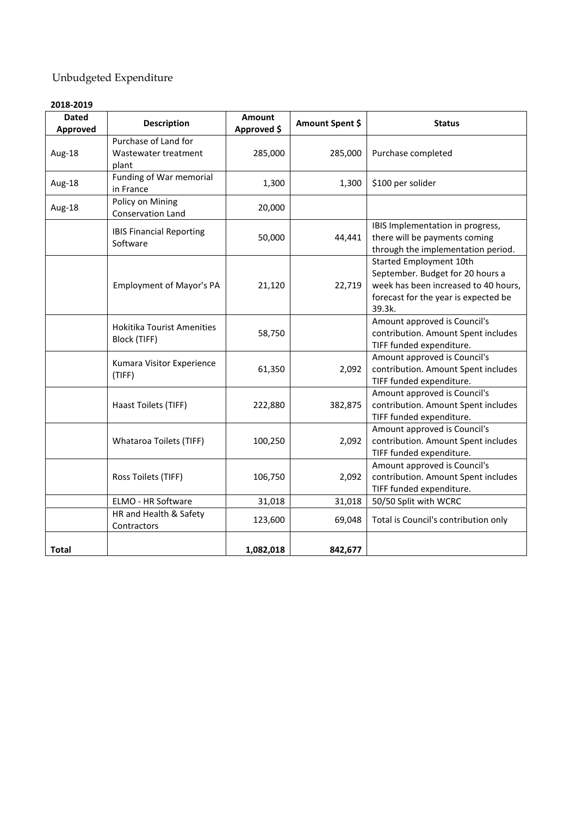# Unbudgeted Expenditure

| <b>Dated</b><br>Approved | <b>Description</b>                                    | <b>Amount</b><br>Approved \$ | Amount Spent \$ | <b>Status</b>                                                                                                                                                |
|--------------------------|-------------------------------------------------------|------------------------------|-----------------|--------------------------------------------------------------------------------------------------------------------------------------------------------------|
| Aug-18                   | Purchase of Land for<br>Wastewater treatment<br>plant | 285,000                      | 285,000         | Purchase completed                                                                                                                                           |
| Aug-18                   | Funding of War memorial<br>in France                  | 1,300                        | 1,300           | \$100 per solider                                                                                                                                            |
| Aug-18                   | Policy on Mining<br>Conservation Land                 | 20,000                       |                 |                                                                                                                                                              |
|                          | <b>IBIS Financial Reporting</b><br>Software           | 50,000                       | 44,441          | IBIS Implementation in progress,<br>there will be payments coming<br>through the implementation period.                                                      |
|                          | <b>Employment of Mayor's PA</b>                       | 21,120                       | 22,719          | <b>Started Employment 10th</b><br>September. Budget for 20 hours a<br>week has been increased to 40 hours,<br>forecast for the year is expected be<br>39.3k. |
|                          | <b>Hokitika Tourist Amenities</b><br>Block (TIFF)     | 58,750                       |                 | Amount approved is Council's<br>contribution. Amount Spent includes<br>TIFF funded expenditure.                                                              |
|                          | Kumara Visitor Experience<br>(TIFF)                   | 61,350                       | 2,092           | Amount approved is Council's<br>contribution. Amount Spent includes<br>TIFF funded expenditure.                                                              |
|                          | Haast Toilets (TIFF)                                  | 222,880                      | 382,875         | Amount approved is Council's<br>contribution. Amount Spent includes<br>TIFF funded expenditure.                                                              |
|                          | <b>Whataroa Toilets (TIFF)</b>                        | 100,250                      | 2,092           | Amount approved is Council's<br>contribution. Amount Spent includes<br>TIFF funded expenditure.                                                              |
|                          | Ross Toilets (TIFF)                                   | 106,750                      | 2,092           | Amount approved is Council's<br>contribution. Amount Spent includes<br>TIFF funded expenditure.                                                              |
|                          | <b>ELMO - HR Software</b>                             | 31,018                       | 31,018          | 50/50 Split with WCRC                                                                                                                                        |
|                          | HR and Health & Safety<br>Contractors                 | 123,600                      | 69,048          | Total is Council's contribution only                                                                                                                         |
| Total                    |                                                       | 1,082,018                    | 842,677         |                                                                                                                                                              |

#### **2018-2019**